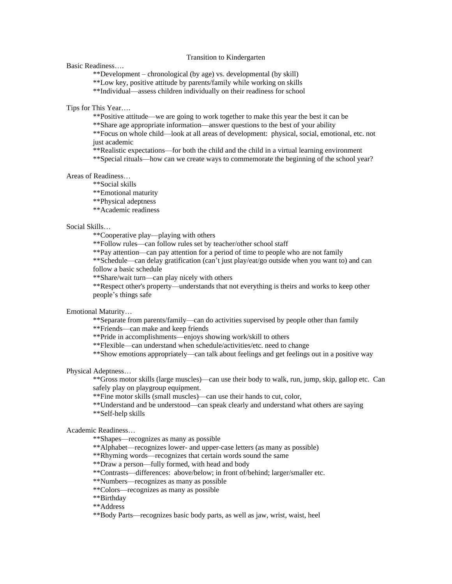## Transition to Kindergarten

Basic Readiness….

\*\*Development – chronological (by age) vs. developmental (by skill)

\*\*Low key, positive attitude by parents/family while working on skills

\*\*Individual—assess children individually on their readiness for school

Tips for This Year….

\*\*Positive attitude—we are going to work together to make this year the best it can be

\*\*Share age appropriate information—answer questions to the best of your ability

\*\*Focus on whole child—look at all areas of development: physical, social, emotional, etc. not just academic

\*\*Realistic expectations—for both the child and the child in a virtual learning environment

\*\*Special rituals—how can we create ways to commemorate the beginning of the school year?

Areas of Readiness…

\*\*Social skills

\*\*Emotional maturity

\*\*Physical adeptness

\*\*Academic readiness

## Social Skills…

\*\*Cooperative play—playing with others

\*\*Follow rules—can follow rules set by teacher/other school staff

\*\*Pay attention—can pay attention for a period of time to people who are not family

\*\*Schedule—can delay gratification (can't just play/eat/go outside when you want to) and can follow a basic schedule

\*\*Share/wait turn—can play nicely with others

\*\*Respect other's property—understands that not everything is theirs and works to keep other people's things safe

Emotional Maturity…

\*\*Separate from parents/family—can do activities supervised by people other than family

\*\*Friends—can make and keep friends

\*\*Pride in accomplishments—enjoys showing work/skill to others

\*\*Flexible—can understand when schedule/activities/etc. need to change

\*\*Show emotions appropriately—can talk about feelings and get feelings out in a positive way

Physical Adeptness…

\*\*Gross motor skills (large muscles)—can use their body to walk, run, jump, skip, gallop etc. Can safely play on playgroup equipment.

\*\*Fine motor skills (small muscles)—can use their hands to cut, color,

\*\*Understand and be understood—can speak clearly and understand what others are saying \*\*Self-help skills

Academic Readiness…

\*\*Shapes—recognizes as many as possible

\*\*Alphabet—recognizes lower- and upper-case letters (as many as possible)

\*\*Rhyming words—recognizes that certain words sound the same

\*\*Draw a person—fully formed, with head and body

\*\*Contrasts—differences: above/below; in front of/behind; larger/smaller etc.

\*\*Numbers—recognizes as many as possible

\*\*Colors—recognizes as many as possible

\*\*Birthday

\*\*Address

\*\*Body Parts—recognizes basic body parts, as well as jaw, wrist, waist, heel